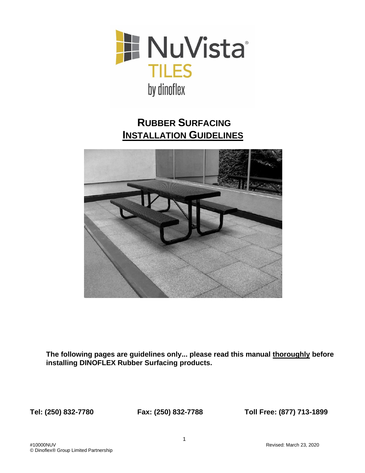

# **RUBBER SURFACING INSTALLATION GUIDELINES**



**The following pages are guidelines only... please read this manual thoroughly before installing DINOFLEX Rubber Surfacing products.** 

**Tel: (250) 832-7780 Fax: (250) 832-7788 Toll Free: (877) 713-1899**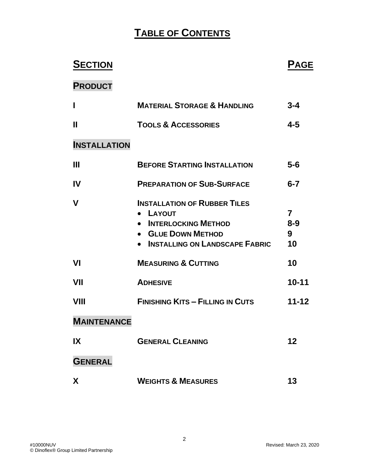# **TABLE OF CONTENTS**

| <b>SECTION</b>      |                                                                                                                                              | <b>PAGE</b>                          |
|---------------------|----------------------------------------------------------------------------------------------------------------------------------------------|--------------------------------------|
| <b>PRODUCT</b>      |                                                                                                                                              |                                      |
| $\mathbf{I}$        | <b>MATERIAL STORAGE &amp; HANDLING</b>                                                                                                       | $3 - 4$                              |
| $\mathbf{I}$        | <b>TOOLS &amp; ACCESSORIES</b>                                                                                                               | $4 - 5$                              |
| <b>INSTALLATION</b> |                                                                                                                                              |                                      |
| $\mathbf{H}$        | <b>BEFORE STARTING INSTALLATION</b>                                                                                                          | $5-6$                                |
| <b>IV</b>           | <b>PREPARATION OF SUB-SURFACE</b>                                                                                                            | $6 - 7$                              |
| $\mathbf v$         | <b>INSTALLATION OF RUBBER TILES</b><br>• LAYOUT<br><b>INTERLOCKING METHOD</b><br>• GLUE DOWN METHOD<br><b>INSTALLING ON LANDSCAPE FABRIC</b> | $\overline{7}$<br>$8 - 9$<br>9<br>10 |
| <b>VI</b>           | <b>MEASURING &amp; CUTTING</b>                                                                                                               | 10                                   |
| VII                 | <b>ADHESIVE</b>                                                                                                                              | $10 - 11$                            |
| VIII                | <b>FINISHING KITS - FILLING IN CUTS</b>                                                                                                      | $11 - 12$                            |
| <b>MAINTENANCE</b>  |                                                                                                                                              |                                      |
| IX                  | <b>GENERAL CLEANING</b>                                                                                                                      | 12                                   |
| <b>GENERAL</b>      |                                                                                                                                              |                                      |
| X                   | <b>WEIGHTS &amp; MEASURES</b>                                                                                                                | 13                                   |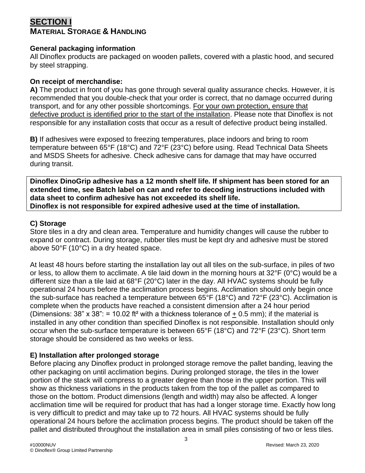# **SECTION I MATERIAL STORAGE & HANDLING**

#### **General packaging information**

All Dinoflex products are packaged on wooden pallets, covered with a plastic hood, and secured by steel strapping.

#### **On receipt of merchandise:**

**A)** The product in front of you has gone through several quality assurance checks. However, it is recommended that you double-check that your order is correct, that no damage occurred during transport, and for any other possible shortcomings. For your own protection, ensure that defective product is identified prior to the start of the installation. Please note that Dinoflex is not responsible for any installation costs that occur as a result of defective product being installed.

**B)** If adhesives were exposed to freezing temperatures, place indoors and bring to room temperature between 65°F (18°C) and 72°F (23°C) before using. Read Technical Data Sheets and MSDS Sheets for adhesive. Check adhesive cans for damage that may have occurred during transit.

**Dinoflex DinoGrip adhesive has a 12 month shelf life. If shipment has been stored for an extended time, see Batch label on can and refer to decoding instructions included with data sheet to confirm adhesive has not exceeded its shelf life. Dinoflex is not responsible for expired adhesive used at the time of installation.**

#### **C) Storage**

Store tiles in a dry and clean area. Temperature and humidity changes will cause the rubber to expand or contract. During storage, rubber tiles must be kept dry and adhesive must be stored above 50°F (10°C) in a dry heated space.

At least 48 hours before starting the installation lay out all tiles on the sub-surface, in piles of two or less, to allow them to acclimate. A tile laid down in the morning hours at 32°F (0°C) would be a different size than a tile laid at 68°F (20°C) later in the day. All HVAC systems should be fully operational 24 hours before the acclimation process begins. Acclimation should only begin once the sub-surface has reached a temperature between 65°F (18°C) and 72°F (23°C). Acclimation is complete when the products have reached a consistent dimension after a 24 hour period (Dimensions:  $38" \times 38" = 10.02$  ft<sup>2</sup> with a thickness tolerance of  $\pm 0.5$  mm); if the material is installed in any other condition than specified Dinoflex is not responsible. Installation should only occur when the sub-surface temperature is between 65°F (18°C) and 72°F (23°C). Short term storage should be considered as two weeks or less.

#### **E) Installation after prolonged storage**

Before placing any Dinoflex product in prolonged storage remove the pallet banding, leaving the other packaging on until acclimation begins. During prolonged storage, the tiles in the lower portion of the stack will compress to a greater degree than those in the upper portion. This will show as thickness variations in the products taken from the top of the pallet as compared to those on the bottom. Product dimensions (length and width) may also be affected. A longer acclimation time will be required for product that has had a longer storage time. Exactly how long is very difficult to predict and may take up to 72 hours. All HVAC systems should be fully operational 24 hours before the acclimation process begins. The product should be taken off the pallet and distributed throughout the installation area in small piles consisting of two or less tiles.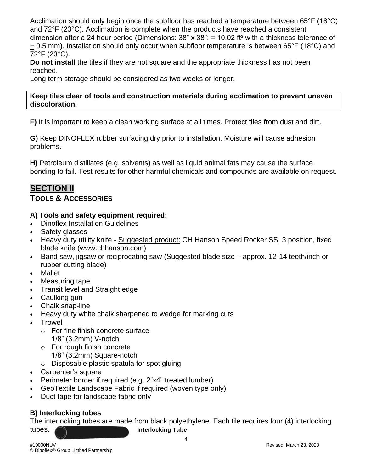Acclimation should only begin once the subfloor has reached a temperature between 65°F (18°C) and 72°F (23°C). Acclimation is complete when the products have reached a consistent dimension after a 24 hour period (Dimensions: 38" x 38": = 10.02 ft² with a thickness tolerance of + 0.5 mm). Installation should only occur when subfloor temperature is between 65°F (18°C) and 72°F (23°C).

**Do not install** the tiles if they are not square and the appropriate thickness has not been reached.

Long term storage should be considered as two weeks or longer.

#### **Keep tiles clear of tools and construction materials during acclimation to prevent uneven discoloration.**

**F)** It is important to keep a clean working surface at all times. Protect tiles from dust and dirt.

**G)** Keep DINOFLEX rubber surfacing dry prior to installation. Moisture will cause adhesion problems.

**H)** Petroleum distillates (e.g. solvents) as well as liquid animal fats may cause the surface bonding to fail. Test results for other harmful chemicals and compounds are available on request.

# **SECTION II**

### **TOOLS & ACCESSORIES**

#### **A) Tools and safety equipment required:**

- Dinoflex Installation Guidelines
- Safety glasses
- Heavy duty utility knife Suggested product: CH Hanson Speed Rocker SS, 3 position, fixed blade knife (www.chhanson.com)
- Band saw, jigsaw or reciprocating saw (Suggested blade size approx. 12-14 teeth/inch or rubber cutting blade)
- **Mallet**
- Measuring tape
- Transit level and Straight edge
- Caulking gun
- Chalk snap-line
- Heavy duty white chalk sharpened to wedge for marking cuts
- Trowel
	- o For fine finish concrete surface 1/8" (3.2mm) V-notch
	- o For rough finish concrete
		- 1/8" (3.2mm) Square-notch
	- o Disposable plastic spatula for spot gluing
- Carpenter's square
- Perimeter border if required (e.g. 2"x4" treated lumber)
- GeoTextile Landscape Fabric if required (woven type only)
- Duct tape for landscape fabric only

## **B) Interlocking tubes**

The interlocking tubes are made from black polyethylene. Each tile requires four (4) interlocking tubes. **Interlocking Tube** 

4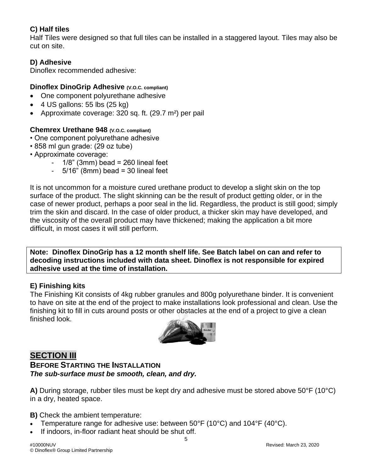## **C) Half tiles**

Half Tiles were designed so that full tiles can be installed in a staggered layout. Tiles may also be cut on site.

### **D) Adhesive**

Dinoflex recommended adhesive:

#### **Dinoflex DinoGrip Adhesive (V.O.C. compliant)**

- One component polyurethane adhesive
- $\bullet$  4 US gallons: 55 lbs (25 kg)
- Approximate coverage: 320 sq. ft. (29.7 m²) per pail

#### **Chemrex Urethane 948 (V.O.C. compliant)**

- One component polyurethane adhesive
- 858 ml gun grade: (29 oz tube)
- Approximate coverage:
	- $1/8$ " (3mm) bead = 260 lineal feet
	- $-5/16$ " (8mm) bead = 30 lineal feet

It is not uncommon for a moisture cured urethane product to develop a slight skin on the top surface of the product. The slight skinning can be the result of product getting older, or in the case of newer product, perhaps a poor seal in the lid. Regardless, the product is still good; simply trim the skin and discard. In the case of older product, a thicker skin may have developed, and the viscosity of the overall product may have thickened; making the application a bit more difficult, in most cases it will still perform.

**Note: Dinoflex DinoGrip has a 12 month shelf life. See Batch label on can and refer to decoding instructions included with data sheet. Dinoflex is not responsible for expired adhesive used at the time of installation.**

#### **E) Finishing kits**

The Finishing Kit consists of 4kg rubber granules and 800g polyurethane binder. It is convenient to have on site at the end of the project to make installations look professional and clean. Use the finishing kit to fill in cuts around posts or other obstacles at the end of a project to give a clean finished look.



# **SECTION III**

**BEFORE STARTING THE INSTALLATION** *The sub-surface must be smooth, clean, and dry.*

**A)** During storage, rubber tiles must be kept dry and adhesive must be stored above 50°F (10°C) in a dry, heated space.

**B)** Check the ambient temperature:

- Temperature range for adhesive use: between 50°F (10°C) and 104°F (40°C).
- If indoors, in-floor radiant heat should be shut off.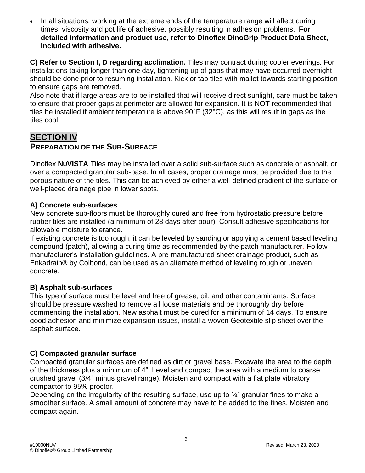• In all situations, working at the extreme ends of the temperature range will affect curing times, viscosity and pot life of adhesive, possibly resulting in adhesion problems. **For detailed information and product use, refer to Dinoflex DinoGrip Product Data Sheet, included with adhesive.**

**C) Refer to Section I, D regarding acclimation.** Tiles may contract during cooler evenings. For installations taking longer than one day, tightening up of gaps that may have occurred overnight should be done prior to resuming installation. Kick or tap tiles with mallet towards starting position to ensure gaps are removed.

Also note that if large areas are to be installed that will receive direct sunlight, care must be taken to ensure that proper gaps at perimeter are allowed for expansion. It is NOT recommended that tiles be installed if ambient temperature is above 90°F (32°C), as this will result in gaps as the tiles cool.

# **SECTION IV PREPARATION OF THE SUB-SURFACE**

Dinoflex **NUVISTA** Tiles may be installed over a solid sub-surface such as concrete or asphalt, or over a compacted granular sub-base. In all cases, proper drainage must be provided due to the porous nature of the tiles. This can be achieved by either a well-defined gradient of the surface or well-placed drainage pipe in lower spots.

#### **A) Concrete sub-surfaces**

New concrete sub-floors must be thoroughly cured and free from hydrostatic pressure before rubber tiles are installed (a minimum of 28 days after pour). Consult adhesive specifications for allowable moisture tolerance.

If existing concrete is too rough, it can be leveled by sanding or applying a cement based leveling compound (patch), allowing a curing time as recommended by the patch manufacturer. Follow manufacturer's installation guidelines. A pre-manufactured sheet drainage product, such as Enkadrain® by Colbond, can be used as an alternate method of leveling rough or uneven concrete.

## **B) Asphalt sub-surfaces**

This type of surface must be level and free of grease, oil, and other contaminants. Surface should be pressure washed to remove all loose materials and be thoroughly dry before commencing the installation. New asphalt must be cured for a minimum of 14 days. To ensure good adhesion and minimize expansion issues, install a woven Geotextile slip sheet over the asphalt surface.

## **C) Compacted granular surface**

Compacted granular surfaces are defined as dirt or gravel base. Excavate the area to the depth of the thickness plus a minimum of 4". Level and compact the area with a medium to coarse crushed gravel (3/4" minus gravel range). Moisten and compact with a flat plate vibratory compactor to 95% proctor.

Depending on the irregularity of the resulting surface, use up to  $\frac{1}{4}$  granular fines to make a smoother surface. A small amount of concrete may have to be added to the fines. Moisten and compact again.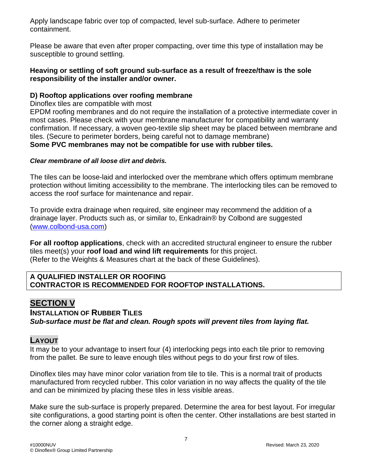Apply landscape fabric over top of compacted, level sub-surface. Adhere to perimeter containment.

Please be aware that even after proper compacting, over time this type of installation may be susceptible to ground settling.

#### **Heaving or settling of soft ground sub-surface as a result of freeze/thaw is the sole responsibility of the installer and/or owner.**

#### **D) Rooftop applications over roofing membrane**

Dinoflex tiles are compatible with most

EPDM roofing membranes and do not require the installation of a protective intermediate cover in most cases. Please check with your membrane manufacturer for compatibility and warranty confirmation. If necessary, a woven geo-textile slip sheet may be placed between membrane and tiles. (Secure to perimeter borders, being careful not to damage membrane) **Some PVC membranes may not be compatible for use with rubber tiles.**

#### *Clear membrane of all loose dirt and debris.*

The tiles can be loose-laid and interlocked over the membrane which offers optimum membrane protection without limiting accessibility to the membrane. The interlocking tiles can be removed to access the roof surface for maintenance and repair.

To provide extra drainage when required, site engineer may recommend the addition of a drainage layer. Products such as, or similar to, Enkadrain® by Colbond are suggested [\(www.colbond-usa.com\)](http://www.colbond-usa.com/)

**For all rooftop applications**, check with an accredited structural engineer to ensure the rubber tiles meet(s) your **roof load and wind lift requirements** for this project. (Refer to the Weights & Measures chart at the back of these Guidelines).

#### **A QUALIFIED INSTALLER OR ROOFING CONTRACTOR IS RECOMMENDED FOR ROOFTOP INSTALLATIONS.**

# **SECTION V**

### **INSTALLATION OF RUBBER TILES** *Sub-surface must be flat and clean. Rough spots will prevent tiles from laying flat.*

## **LAYOUT**

It may be to your advantage to insert four (4) interlocking pegs into each tile prior to removing from the pallet. Be sure to leave enough tiles without pegs to do your first row of tiles.

Dinoflex tiles may have minor color variation from tile to tile. This is a normal trait of products manufactured from recycled rubber. This color variation in no way affects the quality of the tile and can be minimized by placing these tiles in less visible areas.

Make sure the sub-surface is properly prepared. Determine the area for best layout. For irregular site configurations, a good starting point is often the center. Other installations are best started in the corner along a straight edge.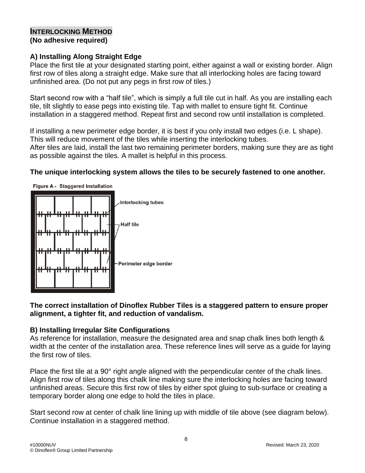### **INTERLOCKING METHOD (No adhesive required)**

### **A) Installing Along Straight Edge**

Place the first tile at your designated starting point, either against a wall or existing border. Align first row of tiles along a straight edge. Make sure that all interlocking holes are facing toward unfinished area. (Do not put any pegs in first row of tiles.)

Start second row with a "half tile", which is simply a full tile cut in half. As you are installing each tile, tilt slightly to ease pegs into existing tile. Tap with mallet to ensure tight fit. Continue installation in a staggered method. Repeat first and second row until installation is completed.

If installing a new perimeter edge border, it is best if you only install two edges (i.e. L shape). This will reduce movement of the tiles while inserting the interlocking tubes. After tiles are laid, install the last two remaining perimeter borders, making sure they are as tight as possible against the tiles. A mallet is helpful in this process.

#### **The unique interlocking system allows the tiles to be securely fastened to one another.**



**The correct installation of Dinoflex Rubber Tiles is a staggered pattern to ensure proper alignment, a tighter fit, and reduction of vandalism.**

#### **B) Installing Irregular Site Configurations**

As reference for installation, measure the designated area and snap chalk lines both length & width at the center of the installation area. These reference lines will serve as a guide for laying the first row of tiles.

Place the first tile at a 90° right angle aligned with the perpendicular center of the chalk lines. Align first row of tiles along this chalk line making sure the interlocking holes are facing toward unfinished areas. Secure this first row of tiles by either spot gluing to sub-surface or creating a temporary border along one edge to hold the tiles in place.

Start second row at center of chalk line lining up with middle of tile above (see diagram below). Continue installation in a staggered method.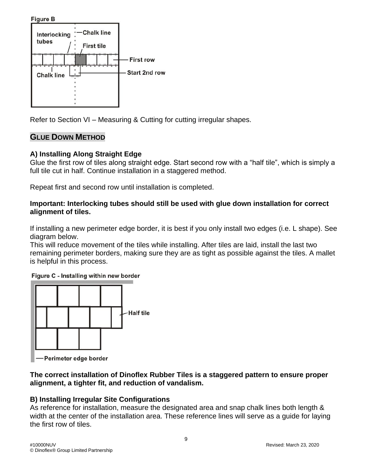**Figure B** 



Refer to Section VI – Measuring & Cutting for cutting irregular shapes.

#### **GLUE DOWN METHOD**

#### **A) Installing Along Straight Edge**

Glue the first row of tiles along straight edge. Start second row with a "half tile", which is simply a full tile cut in half. Continue installation in a staggered method.

Repeat first and second row until installation is completed.

#### **Important: Interlocking tubes should still be used with glue down installation for correct alignment of tiles.**

If installing a new perimeter edge border, it is best if you only install two edges (i.e. L shape). See diagram below.

This will reduce movement of the tiles while installing. After tiles are laid, install the last two remaining perimeter borders, making sure they are as tight as possible against the tiles. A mallet is helpful in this process.

Figure C - Installing within new border



Perimeter edge border

#### **The correct installation of Dinoflex Rubber Tiles is a staggered pattern to ensure proper alignment, a tighter fit, and reduction of vandalism.**

## **B) Installing Irregular Site Configurations**

As reference for installation, measure the designated area and snap chalk lines both length & width at the center of the installation area. These reference lines will serve as a guide for laying the first row of tiles.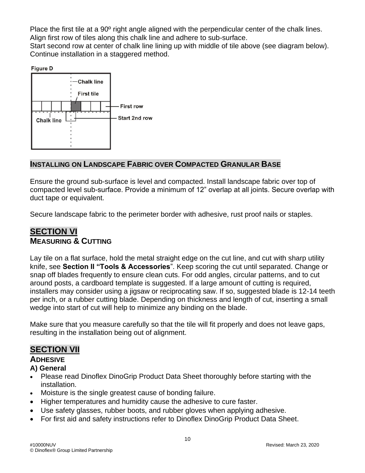Place the first tile at a 90º right angle aligned with the perpendicular center of the chalk lines. Align first row of tiles along this chalk line and adhere to sub-surface.

Start second row at center of chalk line lining up with middle of tile above (see diagram below). Continue installation in a staggered method.

**Figure D** 



## **INSTALLING ON LANDSCAPE FABRIC OVER COMPACTED GRANULAR BASE**

Ensure the ground sub-surface is level and compacted. Install landscape fabric over top of compacted level sub-surface. Provide a minimum of 12" overlap at all joints. Secure overlap with duct tape or equivalent.

Secure landscape fabric to the perimeter border with adhesive, rust proof nails or staples.

# **SECTION VI MEASURING & CUTTING**

Lay tile on a flat surface, hold the metal straight edge on the cut line, and cut with sharp utility knife, see **Section II "Tools & Accessories**". Keep scoring the cut until separated. Change or snap off blades frequently to ensure clean cuts. For odd angles, circular patterns, and to cut around posts, a cardboard template is suggested. If a large amount of cutting is required, installers may consider using a jigsaw or reciprocating saw. If so, suggested blade is 12-14 teeth per inch, or a rubber cutting blade. Depending on thickness and length of cut, inserting a small wedge into start of cut will help to minimize any binding on the blade.

Make sure that you measure carefully so that the tile will fit properly and does not leave gaps, resulting in the installation being out of alignment.

# **SECTION VII**

### **ADHESIVE**

#### **A) General**

- Please read Dinoflex DinoGrip Product Data Sheet thoroughly before starting with the installation.
- Moisture is the single greatest cause of bonding failure.
- Higher temperatures and humidity cause the adhesive to cure faster.
- Use safety glasses, rubber boots, and rubber gloves when applying adhesive.
- For first aid and safety instructions refer to Dinoflex DinoGrip Product Data Sheet.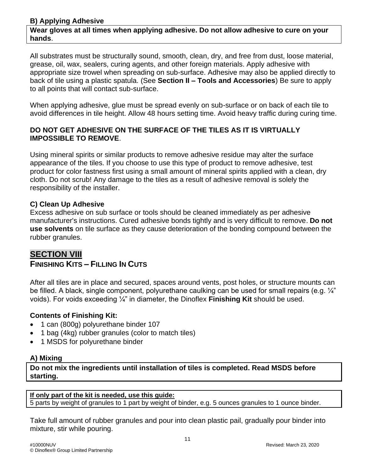#### **B) Applying Adhesive Wear gloves at all times when applying adhesive. Do not allow adhesive to cure on your hands**.

All substrates must be structurally sound, smooth, clean, dry, and free from dust, loose material, grease, oil, wax, sealers, curing agents, and other foreign materials. Apply adhesive with appropriate size trowel when spreading on sub-surface. Adhesive may also be applied directly to back of tile using a plastic spatula. (See **Section II – Tools and Accessories**) Be sure to apply to all points that will contact sub-surface.

When applying adhesive, glue must be spread evenly on sub-surface or on back of each tile to avoid differences in tile height. Allow 48 hours setting time. Avoid heavy traffic during curing time.

#### **DO NOT GET ADHESIVE ON THE SURFACE OF THE TILES AS IT IS VIRTUALLY IMPOSSIBLE TO REMOVE**.

Using mineral spirits or similar products to remove adhesive residue may alter the surface appearance of the tiles. If you choose to use this type of product to remove adhesive, test product for color fastness first using a small amount of mineral spirits applied with a clean, dry cloth. Do not scrub! Any damage to the tiles as a result of adhesive removal is solely the responsibility of the installer.

#### **C) Clean Up Adhesive**

Excess adhesive on sub surface or tools should be cleaned immediately as per adhesive manufacturer's instructions. Cured adhesive bonds tightly and is very difficult to remove. **Do not use solvents** on tile surface as they cause deterioration of the bonding compound between the rubber granules.

# **SECTION VIII**

# **FINISHING KITS – FILLING IN CUTS**

After all tiles are in place and secured, spaces around vents, post holes, or structure mounts can be filled. A black, single component, polyurethane caulking can be used for small repairs (e.g.  $\frac{1}{4}$ ") voids). For voids exceeding ¼" in diameter, the Dinoflex **Finishing Kit** should be used.

## **Contents of Finishing Kit:**

- 1 can (800g) polyurethane binder 107
- 1 bag (4kg) rubber granules (color to match tiles)
- 1 MSDS for polyurethane binder

#### **A) Mixing**

**Do not mix the ingredients until installation of tiles is completed. Read MSDS before starting.**

#### **If only part of the kit is needed, use this guide:**

5 parts by weight of granules to 1 part by weight of binder, e.g. 5 ounces granules to 1 ounce binder.

Take full amount of rubber granules and pour into clean plastic pail, gradually pour binder into mixture, stir while pouring.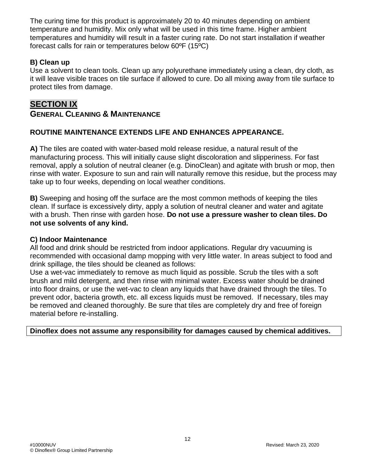The curing time for this product is approximately 20 to 40 minutes depending on ambient temperature and humidity. Mix only what will be used in this time frame. Higher ambient temperatures and humidity will result in a faster curing rate. Do not start installation if weather forecast calls for rain or temperatures below 60ºF (15ºC)

### **B) Clean up**

Use a solvent to clean tools. Clean up any polyurethane immediately using a clean, dry cloth, as it will leave visible traces on tile surface if allowed to cure. Do all mixing away from tile surface to protect tiles from damage.

# **SECTION IX GENERAL CLEANING & MAINTENANCE**

### **ROUTINE MAINTENANCE EXTENDS LIFE AND ENHANCES APPEARANCE.**

**A)** The tiles are coated with water-based mold release residue, a natural result of the manufacturing process. This will initially cause slight discoloration and slipperiness. For fast removal, apply a solution of neutral cleaner (e.g. DinoClean) and agitate with brush or mop, then rinse with water. Exposure to sun and rain will naturally remove this residue, but the process may take up to four weeks, depending on local weather conditions.

**B)** Sweeping and hosing off the surface are the most common methods of keeping the tiles clean. If surface is excessively dirty, apply a solution of neutral cleaner and water and agitate with a brush. Then rinse with garden hose. **Do not use a pressure washer to clean tiles. Do not use solvents of any kind.**

#### **C) Indoor Maintenance**

All food and drink should be restricted from indoor applications. Regular dry vacuuming is recommended with occasional damp mopping with very little water. In areas subject to food and drink spillage, the tiles should be cleaned as follows:

Use a wet-vac immediately to remove as much liquid as possible. Scrub the tiles with a soft brush and mild detergent, and then rinse with minimal water. Excess water should be drained into floor drains, or use the wet-vac to clean any liquids that have drained through the tiles. To prevent odor, bacteria growth, etc. all excess liquids must be removed. If necessary, tiles may be removed and cleaned thoroughly. Be sure that tiles are completely dry and free of foreign material before re-installing.

**Dinoflex does not assume any responsibility for damages caused by chemical additives.**